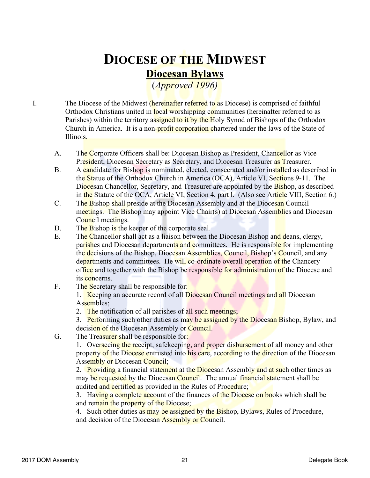## **DIOCESE OF THE MIDWEST Diocesan Bylaws**

(*Approved 1996)*

I. The Diocese of the Midwest *(hereinafter referred to as Diocese)* is comprised of faithful Orthodox Christians united in local worshipping communities (hereinafter referred to as Parishes) within the territory assigned to it by the Holy Synod of Bishops of the Orthodox Church in America. It is a non-profit corporation chartered under the laws of the State of Illinois.

- A. The Corporate Officers shall be: Diocesan Bishop as President, Chancellor as Vice President, Diocesan Secretary as Secretary, and Diocesan Treasurer as Treasurer.
- B. A candidate for Bishop is nominated, elected, consecrated and/or installed as described in the Statue of the Orthodox Church in America (OCA), Article VI, Sections 9-11. The Diocesan Chancellor, Secretary, and Treasurer are appointed by the Bishop, as described in the Statute of the OCA, Article VI, Section 4, part l. (Also see Article VIII, Section 6.)
- C. The Bishop shall preside at the Diocesan Assembly and at the Diocesan Council meetings. The Bishop may appoint Vice Chair(s) at Diocesan Assemblies and Diocesan Council meetings.
- D. The Bishop is the keeper of the corporate seal.
- E. The Chancellor shall act as a liaison between the Diocesan Bishop and deans, clergy, parishes and Diocesan departments and committees. He is responsible for implementing the decisions of the Bishop, Diocesan Assemblies, Council, Bishop's Council, and any departments and committees. He will co-ordinate overall operation of the Chancery office and together with the Bishop be responsible for administration of the Diocese and its concerns.
- F. The Secretary shall be responsible for:

1. Keeping an accurate record of all Diocesan Council meetings and all Diocesan Assembles;

- 2. The notification of all parishes of all such meetings;
- 3. Performing such other duties as may be assigned by the Diocesan Bishop, Bylaw, and
- decision of the Diocesan Assembly or Council.
- G. The Treasurer shall be responsible for:

1. Overseeing the receipt, safekeeping, and proper disbursement of all money and other property of the Diocese entrusted into his care, according to the direction of the Diocesan Assembly or Diocesan Council;

2. Providing a financial statement at the Diocesan Assembly and at such other times as may be requested by the Diocesan Council. The annual financial statement shall be audited and certified as provided in the Rules of Procedure;

3. Having a complete account of the finances of the Diocese on books which shall be and remain the property of the Diocese;

4. Such other duties as may be assigned by the Bishop, Bylaws, Rules of Procedure, and decision of the Diocesan Assembly or Council.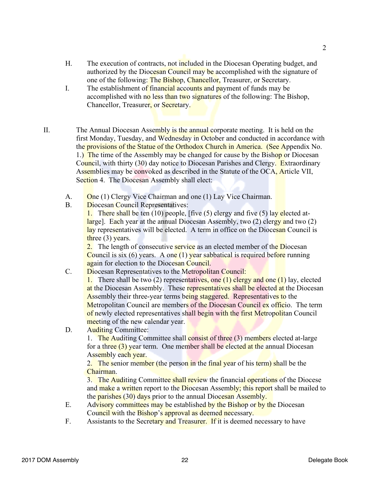- H. The execution of contracts, not included in the Diocesan Operating budget, and authorized by the Diocesan Council may be accomplished with the signature of one of the following: The Bishop, Chancellor, Treasurer, or Secretary.
- I. The establishment of financial accounts and payment of funds may be accomplished with no less than two signatures of the following: The Bishop, Chancellor, Treasurer, or Secretary.
- II. The Annual Diocesan Assembly is the annual corporate meeting. It is held on the first Monday, Tuesday, and Wednesday in October and conducted in accordance with the provisions of the Statue of the Orthodox Church in America. (See Appendix No. 1.) The time of the Assembly may be changed for cause by the Bishop or Diocesan Council, with thirty (30) day notice to Diocesan Parishes and Clergy. Extraordinary Assemblies may be convoked as described in the Statute of the OCA, Article VII, Section 4. The Diocesan Assembly shall elect:
	- A. One (1) Clergy Vice Chairman and one (1) Lay Vice Chairman.
	- B. Diocesan Council Representatives:

1. There shall be ten  $(10)$  people, [five  $(5)$  clergy and five  $(5)$  lay elected atlarge]. Each year at the annual Diocesan Assembly, two (2) clergy and two (2) lay representatives will be elected. A term in office on the Diocesan Council is three  $(3)$  years.

2. The length of consecutive **service** as an elected member of the Diocesan Council is six (6) years. A one  $(1)$  year sabbatical is required before running again for election to the Diocesan Council.

C. Diocesan Representatives to the Metropolitan Council:

1. There shall be two (2) representatives, one (1) clergy and one (1) lay, elected at the Diocesan Assembly. These representatives shall be elected at the Diocesan Assembly their three-year terms being staggered. Representatives to the Metropolitan Council are members of the Diocesan Council ex officio. The term of newly elected representatives shall begin with the first Metropolitan Council meeting of the new calendar year.

D. Auditing Committee:

1. The Auditing Committee shall consist of three (3) members elected at-large for a three (3) year term. One member shall be elected at the annual Diocesan Assembly each year.

2. The senior member (the person in the final year of his term) shall be the **Chairman** 

3. The Auditing Committee shall review the financial operations of the Diocese and make a written report to the Diocesan Assembly; this report shall be mailed to the parishes (30) days prior to the annual Diocesan Assembly.

- E. Advisory committees may be established by the Bishop or by the Diocesan Council with the Bishop's approval as deemed necessary.
- F. Assistants to the Secretary and Treasurer. If it is deemed necessary to have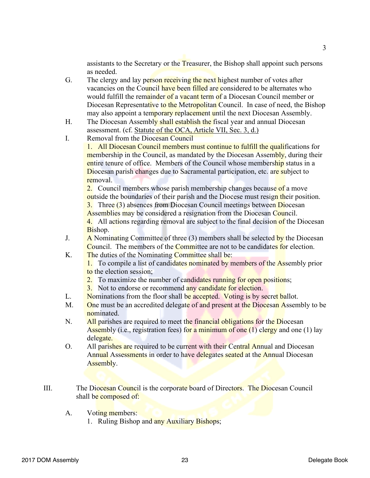assistants to the Secretary or the Treasurer, the Bishop shall appoint such persons as needed.

- G. The clergy and lay person receiving the next highest number of votes after vacancies on the Council have been filled are considered to be alternates who would fulfill the remainder of a vacant term of a Diocesan Council member or Diocesan Representative to the Metropolitan Council. In case of need, the Bishop may also appoint a temporary replacement until the next Diocesan Assembly.
- H. The Diocesan Assembly shall establish the fiscal year and annual Diocesan assessment. (cf. Statute of the OCA, Article VII, Sec. 3, d.)
- I. Removal from the Diocesan Council

1. All Diocesan Council members must continue to fulfill the qualifications for membership in the Council, as mandated by the Diocesan Assembly, during their entire tenure of office. Members of the Council whose membership status in a Diocesan parish changes due to Sacramental participation, etc. are subject to removal.

2. Council members whose parish membership changes because of a move outside the boundaries of their parish and the Diocese must resign their position.

3. Three (3) absences from Diocesan Council meetings between Diocesan Assemblies may be considered a resignation from the Diocesan Council.

4. All actions regarding removal are subject to the final decision of the Diocesan Bishop.

- J. A Nominating Committee of three  $(3)$  members shall be selected by the Diocesan Council. The members of the Committee are not to be candidates for election.
- K. The duties of the Nominating Committee shall be:

1. To compile a list of candidates nominated by members of the Assembly prior to the election session;

- 2. To maximize the number of candidates running for open positions;
- 3. Not to endorse or recommend any candidate for election.
- L. Nominations from the floor shall be accepted. Voting is by secret ballot.
- M. One must be an accredited delegate of and present at the Diocesan Assembly to be nominated.
- N. All parishes are required to meet the financial obligations for the Diocesan Assembly (i.e., registration fees) for a minimum of one  $(1)$  clergy and one  $(1)$  lay delegate.
- O. All parishes are required to be current with their Central Annual and Diocesan Annual Assessments in order to have delegates seated at the Annual Diocesan Assembly.
- III. The Diocesan Council is the corporate board of Directors. The Diocesan Council shall be composed of:
	- A. Voting members:
		- 1. Ruling Bishop and any Auxiliary Bishops;

3